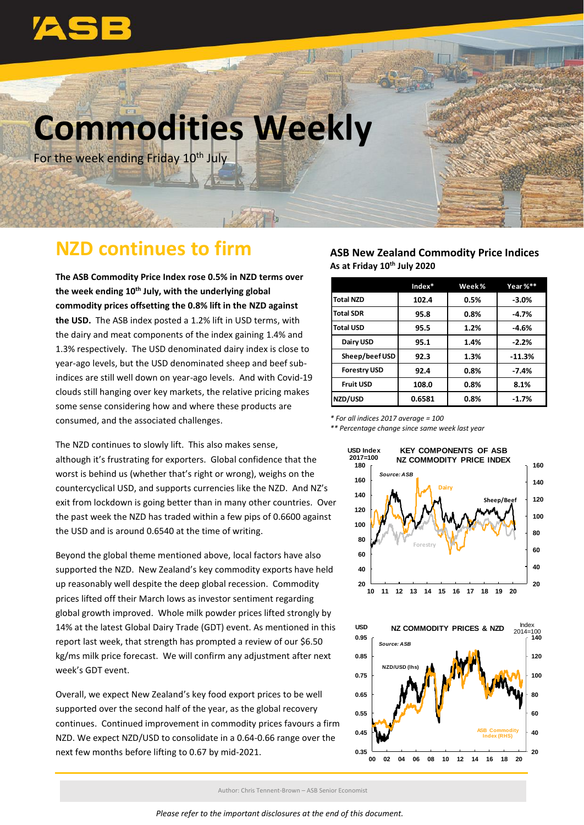

# **Commodities Weekly**

For the week ending Friday 10<sup>th</sup> July

# **NZD continues to firm**

**The ASB Commodity Price Index rose 0.5% in NZD terms over the week ending 10th July, with the underlying global commodity prices offsetting the 0.8% lift in the NZD against the USD.** The ASB index posted a 1.2% lift in USD terms, with the dairy and meat components of the index gaining 1.4% and 1.3% respectively. The USD denominated dairy index is close to year-ago levels, but the USD denominated sheep and beef subindices are still well down on year-ago levels. And with Covid-19 clouds still hanging over key markets, the relative pricing makes some sense considering how and where these products are consumed, and the associated challenges.

The NZD continues to slowly lift. This also makes sense, although it's frustrating for exporters. Global confidence that the worst is behind us (whether that's right or wrong), weighs on the countercyclical USD, and supports currencies like the NZD. And NZ's exit from lockdown is going better than in many other countries. Over the past week the NZD has traded within a few pips of 0.6600 against the USD and is around 0.6540 at the time of writing.

Beyond the global theme mentioned above, local factors have also supported the NZD. New Zealand's key commodity exports have held up reasonably well despite the deep global recession. Commodity prices lifted off their March lows as investor sentiment regarding global growth improved. Whole milk powder prices lifted strongly by 14% at the latest Global Dairy Trade (GDT) event. As mentioned in this report last week, that strength has prompted a review of our \$6.50 kg/ms milk price forecast. We will confirm any adjustment after next week's GDT event.

Overall, we expect New Zealand's key food export prices to be well supported over the second half of the year, as the global recovery continues. Continued improvement in commodity prices favours a firm NZD. We expect NZD/USD to consolidate in a 0.64-0.66 range over the next few months before lifting to 0.67 by mid-2021.

## **ASB New Zealand Commodity Price Indices As at Friday 10th July 2020**

|                     | $Index*$ | Week%   | Year %** |
|---------------------|----------|---------|----------|
| <b>Total NZD</b>    | 102.4    | 0.5%    | $-3.0%$  |
| <b>Total SDR</b>    | 95.8     | $0.8\%$ | $-4.7%$  |
| <b>Total USD</b>    | 95.5     | 1.2%    | $-4.6%$  |
| Dairy USD           | 95.1     | 1.4%    | $-2.2%$  |
| Sheep/beef USD      | 92.3     | 1.3%    | $-11.3%$ |
| <b>Forestry USD</b> | 92.4     | 0.8%    | $-7.4%$  |
| <b>Fruit USD</b>    | 108.0    | 0.8%    | 8.1%     |
| NZD/USD             | 0.6581   | 0.8%    | $-1.7%$  |

*\* For all indices 2017 average = 100*

*\*\* Percentage change since same week last year*





Author: Chris Tennent-Brown – ASB Senior Economist